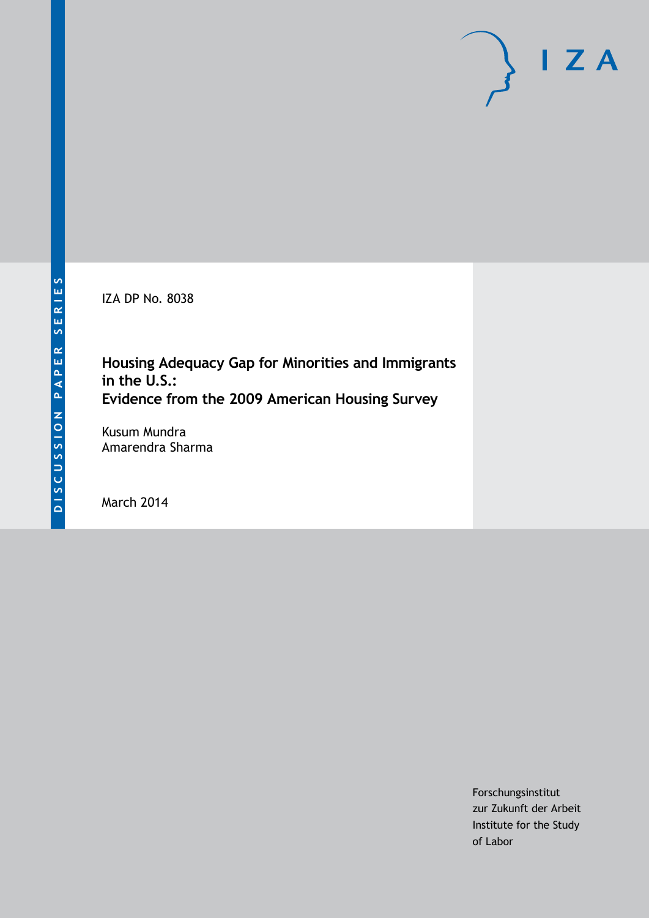IZA DP No. 8038

## **Housing Adequacy Gap for Minorities and Immigrants in the U.S.: Evidence from the 2009 American Housing Survey**

Kusum Mundra Amarendra Sharma

March 2014

Forschungsinstitut zur Zukunft der Arbeit Institute for the Study of Labor

 $I Z A$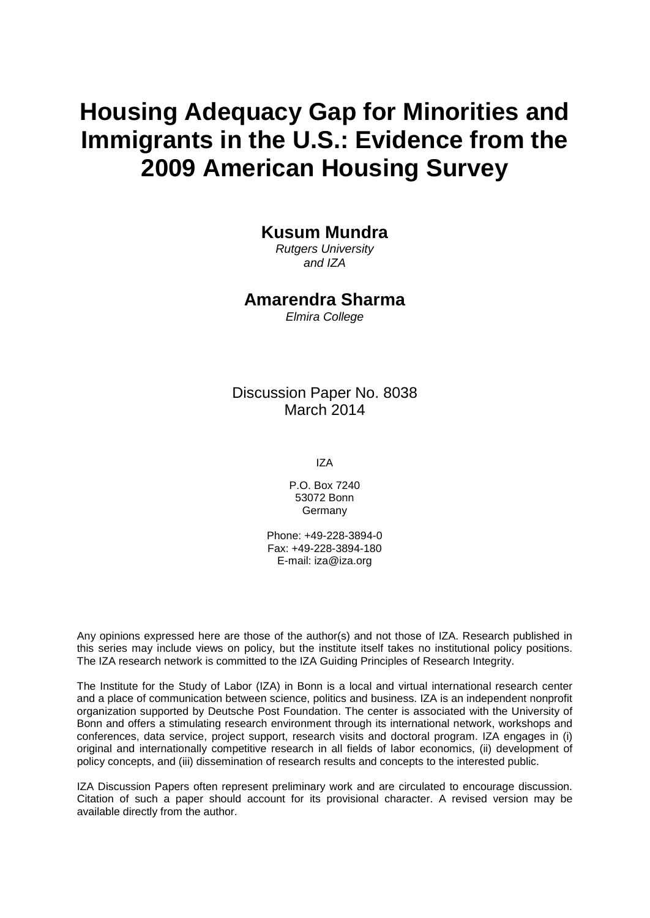# **Housing Adequacy Gap for Minorities and Immigrants in the U.S.: Evidence from the 2009 American Housing Survey**

### **Kusum Mundra**

*Rutgers University and IZA*

### **Amarendra Sharma**

*Elmira College*

### Discussion Paper No. 8038 March 2014

IZA

P.O. Box 7240 53072 Bonn Germany

Phone: +49-228-3894-0 Fax: +49-228-3894-180 E-mail: [iza@iza.org](mailto:iza@iza.org)

Any opinions expressed here are those of the author(s) and not those of IZA. Research published in this series may include views on policy, but the institute itself takes no institutional policy positions. The IZA research network is committed to the IZA Guiding Principles of Research Integrity.

The Institute for the Study of Labor (IZA) in Bonn is a local and virtual international research center and a place of communication between science, politics and business. IZA is an independent nonprofit organization supported by Deutsche Post Foundation. The center is associated with the University of Bonn and offers a stimulating research environment through its international network, workshops and conferences, data service, project support, research visits and doctoral program. IZA engages in (i) original and internationally competitive research in all fields of labor economics, (ii) development of policy concepts, and (iii) dissemination of research results and concepts to the interested public.

IZA Discussion Papers often represent preliminary work and are circulated to encourage discussion. Citation of such a paper should account for its provisional character. A revised version may be available directly from the author.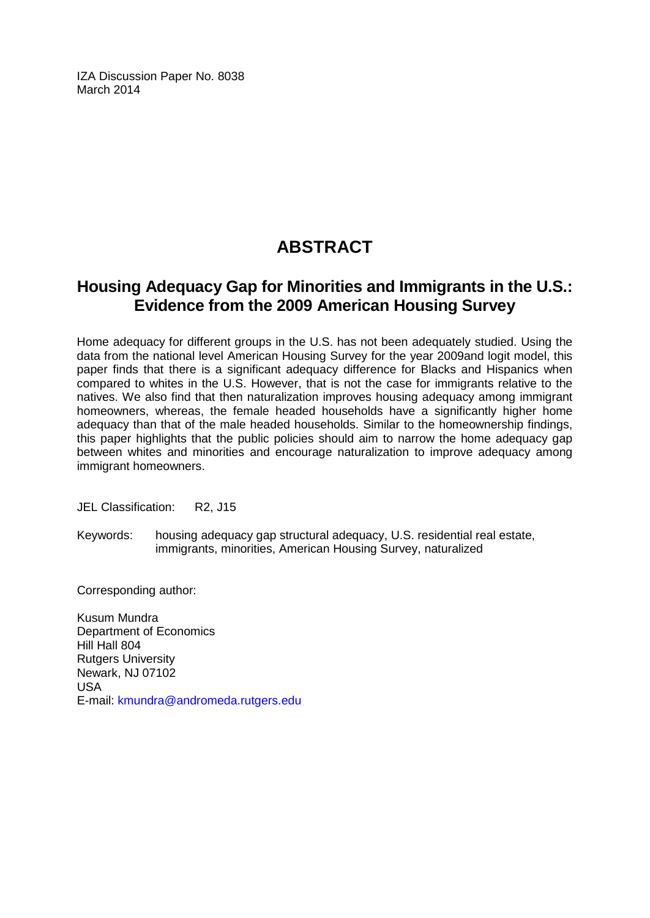IZA Discussion Paper No. 8038 March 2014

# **ABSTRACT**

### **Housing Adequacy Gap for Minorities and Immigrants in the U.S.: Evidence from the 2009 American Housing Survey**

Home adequacy for different groups in the U.S. has not been adequately studied. Using the data from the national level American Housing Survey for the year 2009and logit model, this paper finds that there is a significant adequacy difference for Blacks and Hispanics when compared to whites in the U.S. However, that is not the case for immigrants relative to the natives. We also find that then naturalization improves housing adequacy among immigrant homeowners, whereas, the female headed households have a significantly higher home adequacy than that of the male headed households. Similar to the homeownership findings, this paper highlights that the public policies should aim to narrow the home adequacy gap between whites and minorities and encourage naturalization to improve adequacy among immigrant homeowners.

JEL Classification: R2, J15

Keywords: housing adequacy gap structural adequacy, U.S. residential real estate, immigrants, minorities, American Housing Survey, naturalized

Corresponding author:

Kusum Mundra Department of Economics Hill Hall 804 Rutgers University Newark, NJ 07102 USA E-mail: [kmundra@andromeda.rutgers.edu](mailto:kmundra@andromeda.rutgers.edu)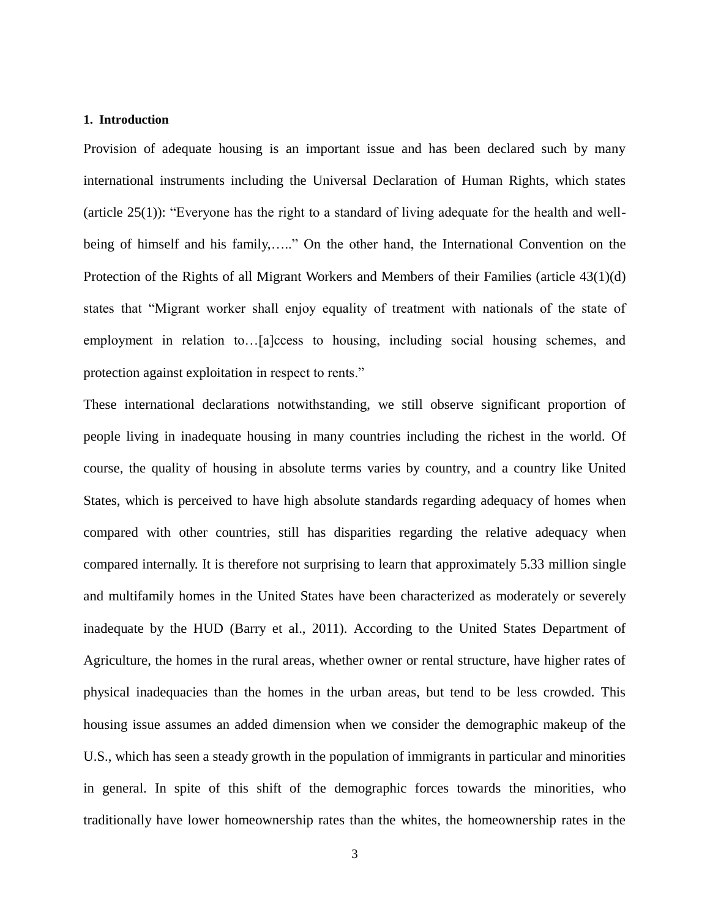#### **1. Introduction**

Provision of adequate housing is an important issue and has been declared such by many international instruments including the Universal Declaration of Human Rights, which states (article 25(1)): "Everyone has the right to a standard of living adequate for the health and wellbeing of himself and his family,....." On the other hand, the International Convention on the Protection of the Rights of all Migrant Workers and Members of their Families (article 43(1)(d) states that "Migrant worker shall enjoy equality of treatment with nationals of the state of employment in relation to…[a]ccess to housing, including social housing schemes, and protection against exploitation in respect to rents."

These international declarations notwithstanding, we still observe significant proportion of people living in inadequate housing in many countries including the richest in the world. Of course, the quality of housing in absolute terms varies by country, and a country like United States, which is perceived to have high absolute standards regarding adequacy of homes when compared with other countries, still has disparities regarding the relative adequacy when compared internally. It is therefore not surprising to learn that approximately 5.33 million single and multifamily homes in the United States have been characterized as moderately or severely inadequate by the HUD (Barry et al., 2011). According to the United States Department of Agriculture, the homes in the rural areas, whether owner or rental structure, have higher rates of physical inadequacies than the homes in the urban areas, but tend to be less crowded. This housing issue assumes an added dimension when we consider the demographic makeup of the U.S., which has seen a steady growth in the population of immigrants in particular and minorities in general. In spite of this shift of the demographic forces towards the minorities, who traditionally have lower homeownership rates than the whites, the homeownership rates in the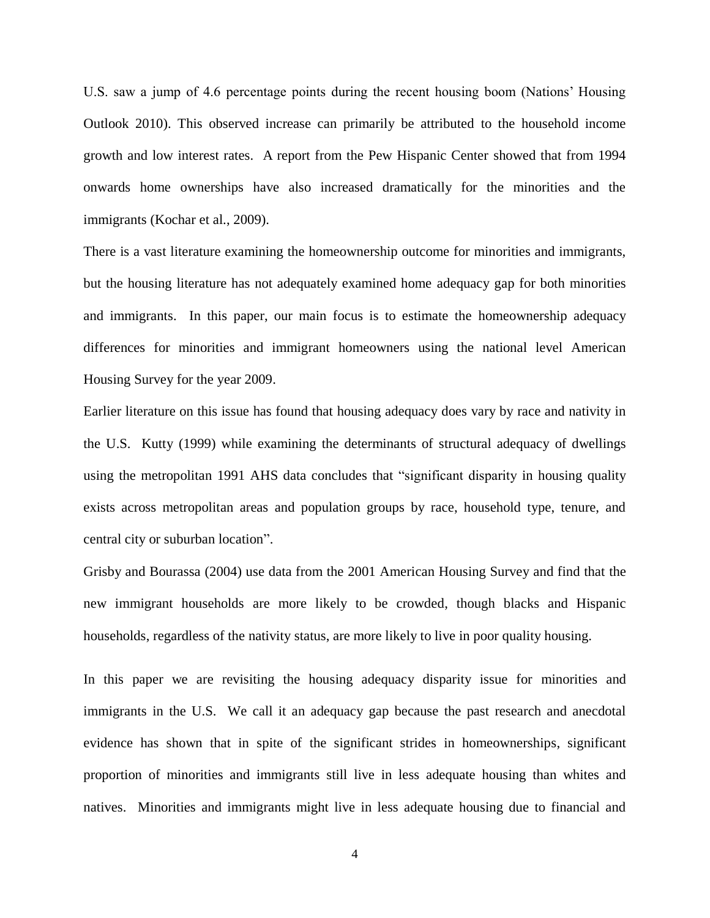U.S. saw a jump of 4.6 percentage points during the recent housing boom (Nations' Housing Outlook 2010). This observed increase can primarily be attributed to the household income growth and low interest rates. A report from the Pew Hispanic Center showed that from 1994 onwards home ownerships have also increased dramatically for the minorities and the immigrants (Kochar et al., 2009).

There is a vast literature examining the homeownership outcome for minorities and immigrants, but the housing literature has not adequately examined home adequacy gap for both minorities and immigrants. In this paper, our main focus is to estimate the homeownership adequacy differences for minorities and immigrant homeowners using the national level American Housing Survey for the year 2009.

Earlier literature on this issue has found that housing adequacy does vary by race and nativity in the U.S. Kutty (1999) while examining the determinants of structural adequacy of dwellings using the metropolitan 1991 AHS data concludes that "significant disparity in housing quality exists across metropolitan areas and population groups by race, household type, tenure, and central city or suburban location".

Grisby and Bourassa (2004) use data from the 2001 American Housing Survey and find that the new immigrant households are more likely to be crowded, though blacks and Hispanic households, regardless of the nativity status, are more likely to live in poor quality housing.

In this paper we are revisiting the housing adequacy disparity issue for minorities and immigrants in the U.S. We call it an adequacy gap because the past research and anecdotal evidence has shown that in spite of the significant strides in homeownerships, significant proportion of minorities and immigrants still live in less adequate housing than whites and natives. Minorities and immigrants might live in less adequate housing due to financial and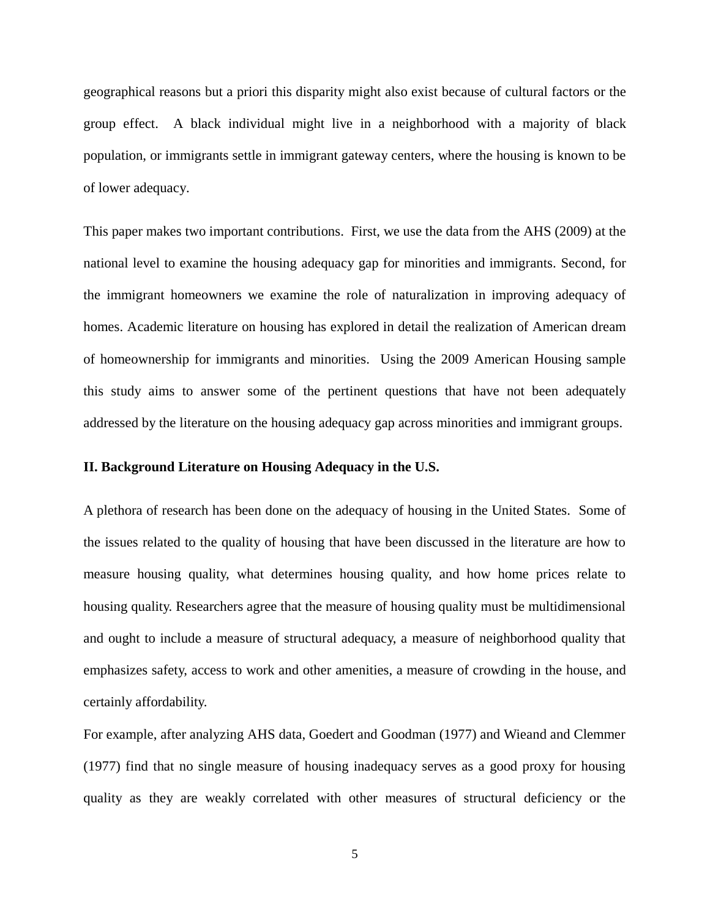geographical reasons but a priori this disparity might also exist because of cultural factors or the group effect. A black individual might live in a neighborhood with a majority of black population, or immigrants settle in immigrant gateway centers, where the housing is known to be of lower adequacy.

This paper makes two important contributions. First, we use the data from the AHS (2009) at the national level to examine the housing adequacy gap for minorities and immigrants. Second, for the immigrant homeowners we examine the role of naturalization in improving adequacy of homes. Academic literature on housing has explored in detail the realization of American dream of homeownership for immigrants and minorities. Using the 2009 American Housing sample this study aims to answer some of the pertinent questions that have not been adequately addressed by the literature on the housing adequacy gap across minorities and immigrant groups.

#### **II. Background Literature on Housing Adequacy in the U.S.**

A plethora of research has been done on the adequacy of housing in the United States. Some of the issues related to the quality of housing that have been discussed in the literature are how to measure housing quality, what determines housing quality, and how home prices relate to housing quality. Researchers agree that the measure of housing quality must be multidimensional and ought to include a measure of structural adequacy, a measure of neighborhood quality that emphasizes safety, access to work and other amenities, a measure of crowding in the house, and certainly affordability.

For example, after analyzing AHS data, Goedert and Goodman (1977) and Wieand and Clemmer (1977) find that no single measure of housing inadequacy serves as a good proxy for housing quality as they are weakly correlated with other measures of structural deficiency or the

5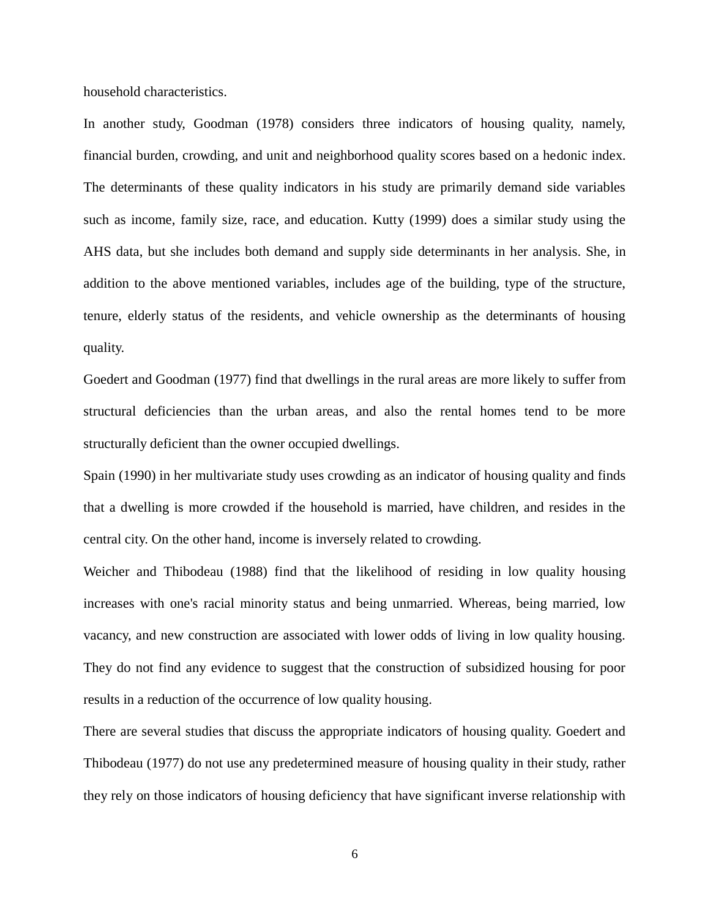household characteristics.

In another study, Goodman (1978) considers three indicators of housing quality, namely, financial burden, crowding, and unit and neighborhood quality scores based on a hedonic index. The determinants of these quality indicators in his study are primarily demand side variables such as income, family size, race, and education. Kutty (1999) does a similar study using the AHS data, but she includes both demand and supply side determinants in her analysis. She, in addition to the above mentioned variables, includes age of the building, type of the structure, tenure, elderly status of the residents, and vehicle ownership as the determinants of housing quality.

Goedert and Goodman (1977) find that dwellings in the rural areas are more likely to suffer from structural deficiencies than the urban areas, and also the rental homes tend to be more structurally deficient than the owner occupied dwellings.

Spain (1990) in her multivariate study uses crowding as an indicator of housing quality and finds that a dwelling is more crowded if the household is married, have children, and resides in the central city. On the other hand, income is inversely related to crowding.

Weicher and Thibodeau (1988) find that the likelihood of residing in low quality housing increases with one's racial minority status and being unmarried. Whereas, being married, low vacancy, and new construction are associated with lower odds of living in low quality housing. They do not find any evidence to suggest that the construction of subsidized housing for poor results in a reduction of the occurrence of low quality housing.

There are several studies that discuss the appropriate indicators of housing quality. Goedert and Thibodeau (1977) do not use any predetermined measure of housing quality in their study, rather they rely on those indicators of housing deficiency that have significant inverse relationship with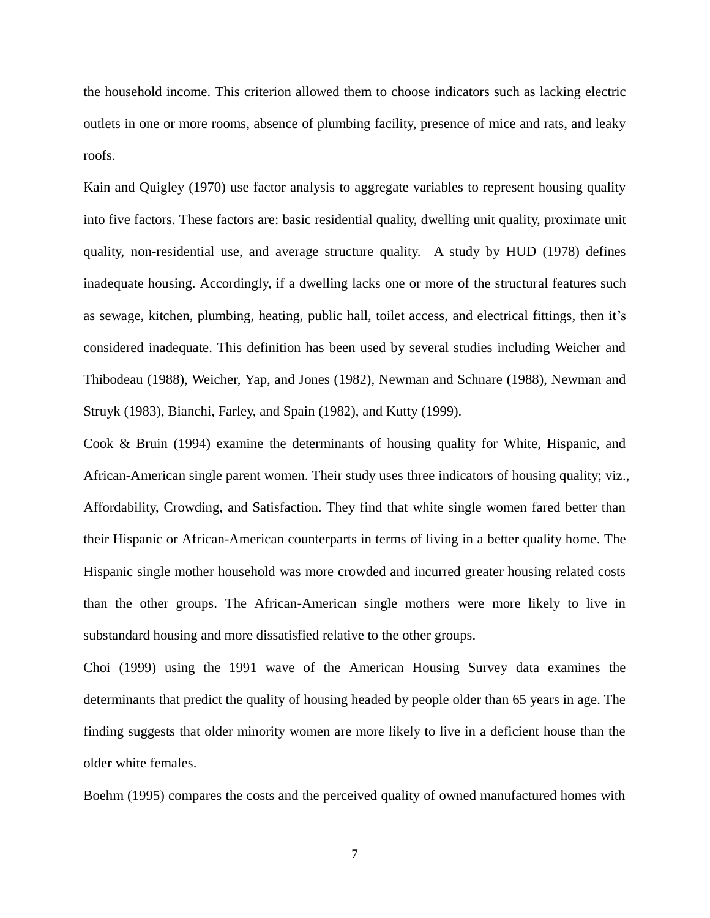the household income. This criterion allowed them to choose indicators such as lacking electric outlets in one or more rooms, absence of plumbing facility, presence of mice and rats, and leaky roofs.

Kain and Quigley (1970) use factor analysis to aggregate variables to represent housing quality into five factors. These factors are: basic residential quality, dwelling unit quality, proximate unit quality, non-residential use, and average structure quality. A study by HUD (1978) defines inadequate housing. Accordingly, if a dwelling lacks one or more of the structural features such as sewage, kitchen, plumbing, heating, public hall, toilet access, and electrical fittings, then it's considered inadequate. This definition has been used by several studies including Weicher and Thibodeau (1988), Weicher, Yap, and Jones (1982), Newman and Schnare (1988), Newman and Struyk (1983), Bianchi, Farley, and Spain (1982), and Kutty (1999).

Cook & Bruin (1994) examine the determinants of housing quality for White, Hispanic, and African-American single parent women. Their study uses three indicators of housing quality; viz., Affordability, Crowding, and Satisfaction. They find that white single women fared better than their Hispanic or African-American counterparts in terms of living in a better quality home. The Hispanic single mother household was more crowded and incurred greater housing related costs than the other groups. The African-American single mothers were more likely to live in substandard housing and more dissatisfied relative to the other groups.

Choi (1999) using the 1991 wave of the American Housing Survey data examines the determinants that predict the quality of housing headed by people older than 65 years in age. The finding suggests that older minority women are more likely to live in a deficient house than the older white females.

Boehm (1995) compares the costs and the perceived quality of owned manufactured homes with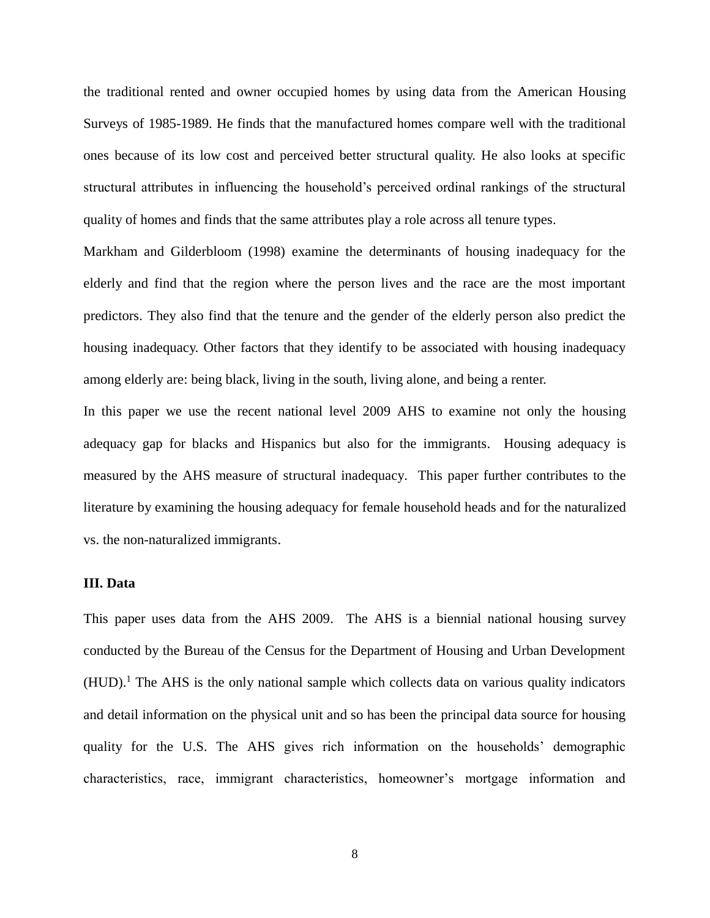the traditional rented and owner occupied homes by using data from the American Housing Surveys of 1985-1989. He finds that the manufactured homes compare well with the traditional ones because of its low cost and perceived better structural quality. He also looks at specific structural attributes in influencing the household's perceived ordinal rankings of the structural quality of homes and finds that the same attributes play a role across all tenure types.

Markham and Gilderbloom (1998) examine the determinants of housing inadequacy for the elderly and find that the region where the person lives and the race are the most important predictors. They also find that the tenure and the gender of the elderly person also predict the housing inadequacy. Other factors that they identify to be associated with housing inadequacy among elderly are: being black, living in the south, living alone, and being a renter.

In this paper we use the recent national level 2009 AHS to examine not only the housing adequacy gap for blacks and Hispanics but also for the immigrants. Housing adequacy is measured by the AHS measure of structural inadequacy. This paper further contributes to the literature by examining the housing adequacy for female household heads and for the naturalized vs. the non-naturalized immigrants.

#### **III. Data**

This paper uses data from the AHS 2009. The AHS is a biennial national housing survey conducted by the Bureau of the Census for the Department of Housing and Urban Development  $(HUD)$ .<sup>1</sup> The AHS is the only national sample which collects data on various quality indicators and detail information on the physical unit and so has been the principal data source for housing quality for the U.S. The AHS gives rich information on the households' demographic characteristics, race, immigrant characteristics, homeowner's mortgage information and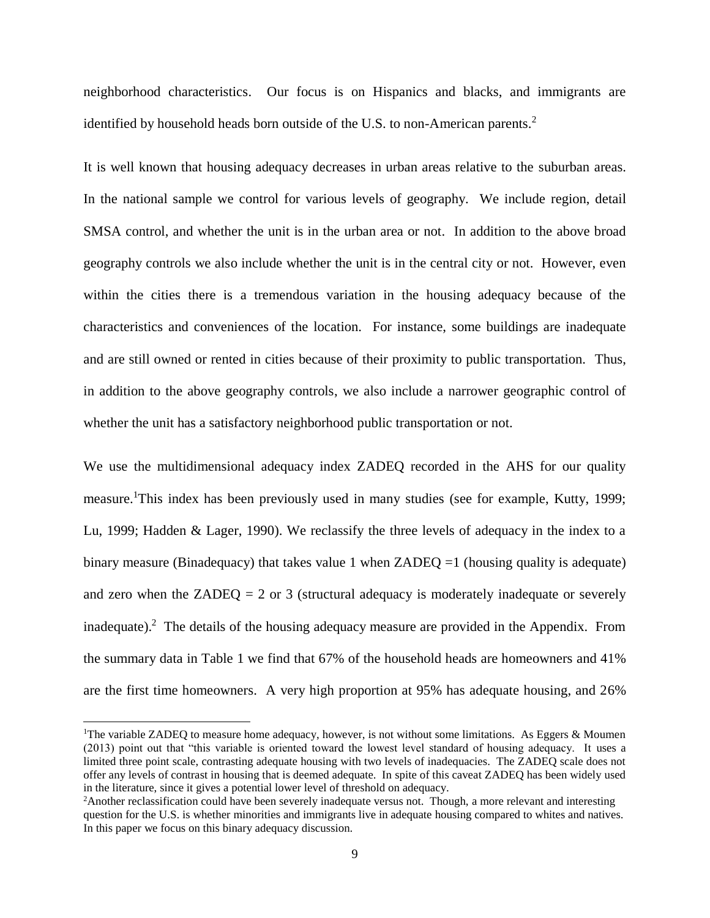neighborhood characteristics. Our focus is on Hispanics and blacks, and immigrants are identified by household heads born outside of the U.S. to non-American parents.<sup>2</sup>

It is well known that housing adequacy decreases in urban areas relative to the suburban areas. In the national sample we control for various levels of geography. We include region, detail SMSA control, and whether the unit is in the urban area or not. In addition to the above broad geography controls we also include whether the unit is in the central city or not. However, even within the cities there is a tremendous variation in the housing adequacy because of the characteristics and conveniences of the location. For instance, some buildings are inadequate and are still owned or rented in cities because of their proximity to public transportation. Thus, in addition to the above geography controls, we also include a narrower geographic control of whether the unit has a satisfactory neighborhood public transportation or not.

We use the multidimensional adequacy index ZADEQ recorded in the AHS for our quality measure.<sup>1</sup>This index has been previously used in many studies (see for example, Kutty, 1999; Lu, 1999; Hadden & Lager, 1990). We reclassify the three levels of adequacy in the index to a binary measure (Binadequacy) that takes value 1 when  $ZADEO = 1$  (housing quality is adequate) and zero when the  $ZADEQ = 2$  or 3 (structural adequacy is moderately inadequate or severely inadequate).<sup>2</sup> The details of the housing adequacy measure are provided in the Appendix. From the summary data in Table 1 we find that 67% of the household heads are homeowners and 41% are the first time homeowners. A very high proportion at 95% has adequate housing, and 26%

l

<sup>&</sup>lt;sup>1</sup>The variable ZADEQ to measure home adequacy, however, is not without some limitations. As Eggers & Moumen (2013) point out that "this variable is oriented toward the lowest level standard of housing adequacy. It uses a limited three point scale, contrasting adequate housing with two levels of inadequacies. The ZADEQ scale does not offer any levels of contrast in housing that is deemed adequate. In spite of this caveat ZADEQ has been widely used in the literature, since it gives a potential lower level of threshold on adequacy.

<sup>&</sup>lt;sup>2</sup>Another reclassification could have been severely inadequate versus not. Though, a more relevant and interesting question for the U.S. is whether minorities and immigrants live in adequate housing compared to whites and natives. In this paper we focus on this binary adequacy discussion.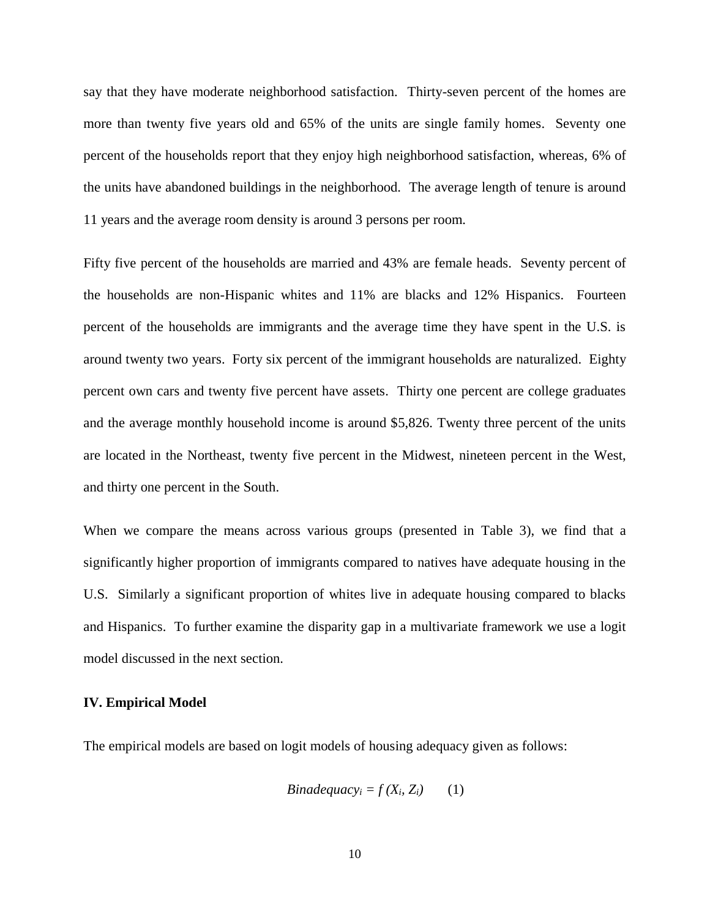say that they have moderate neighborhood satisfaction. Thirty-seven percent of the homes are more than twenty five years old and 65% of the units are single family homes. Seventy one percent of the households report that they enjoy high neighborhood satisfaction, whereas, 6% of the units have abandoned buildings in the neighborhood. The average length of tenure is around 11 years and the average room density is around 3 persons per room.

Fifty five percent of the households are married and 43% are female heads. Seventy percent of the households are non-Hispanic whites and 11% are blacks and 12% Hispanics. Fourteen percent of the households are immigrants and the average time they have spent in the U.S. is around twenty two years. Forty six percent of the immigrant households are naturalized. Eighty percent own cars and twenty five percent have assets. Thirty one percent are college graduates and the average monthly household income is around \$5,826. Twenty three percent of the units are located in the Northeast, twenty five percent in the Midwest, nineteen percent in the West, and thirty one percent in the South.

When we compare the means across various groups (presented in Table 3), we find that a significantly higher proportion of immigrants compared to natives have adequate housing in the U.S. Similarly a significant proportion of whites live in adequate housing compared to blacks and Hispanics. To further examine the disparity gap in a multivariate framework we use a logit model discussed in the next section.

#### **IV. Empirical Model**

The empirical models are based on logit models of housing adequacy given as follows:

*Binadequacy<sub>i</sub>* = 
$$
f(X_i, Z_i)
$$
 (1)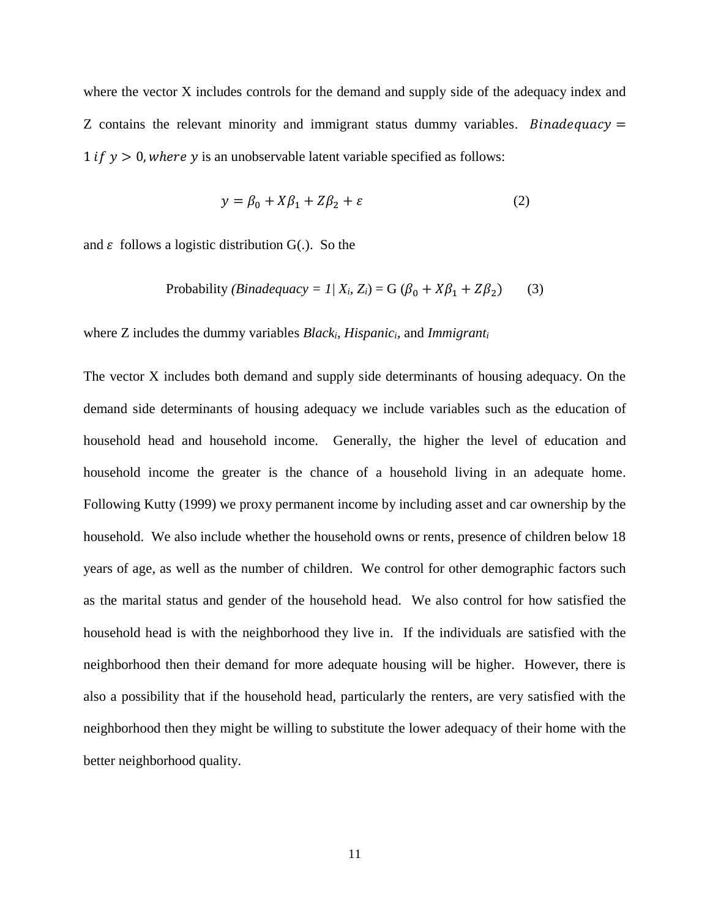where the vector X includes controls for the demand and supply side of the adequacy index and Z contains the relevant minority and immigrant status dummy variables. *Binadequacy*  $=$ 1 *if*  $v > 0$ , where y is an unobservable latent variable specified as follows:

$$
y = \beta_0 + X\beta_1 + Z\beta_2 + \varepsilon \tag{2}
$$

and  $\varepsilon$  follows a logistic distribution  $G(.)$ . So the

Probability (*Binadequacy* = 
$$
1/X_i
$$
,  $Z_i$ ) = G ( $\beta_0$  +  $X\beta_1$  +  $Z\beta_2$ ) (3)

where Z includes the dummy variables *Blacki, Hispanici,* and *Immigrant<sup>i</sup>*

The vector X includes both demand and supply side determinants of housing adequacy. On the demand side determinants of housing adequacy we include variables such as the education of household head and household income. Generally, the higher the level of education and household income the greater is the chance of a household living in an adequate home. Following Kutty (1999) we proxy permanent income by including asset and car ownership by the household. We also include whether the household owns or rents, presence of children below 18 years of age, as well as the number of children. We control for other demographic factors such as the marital status and gender of the household head. We also control for how satisfied the household head is with the neighborhood they live in. If the individuals are satisfied with the neighborhood then their demand for more adequate housing will be higher. However, there is also a possibility that if the household head, particularly the renters, are very satisfied with the neighborhood then they might be willing to substitute the lower adequacy of their home with the better neighborhood quality.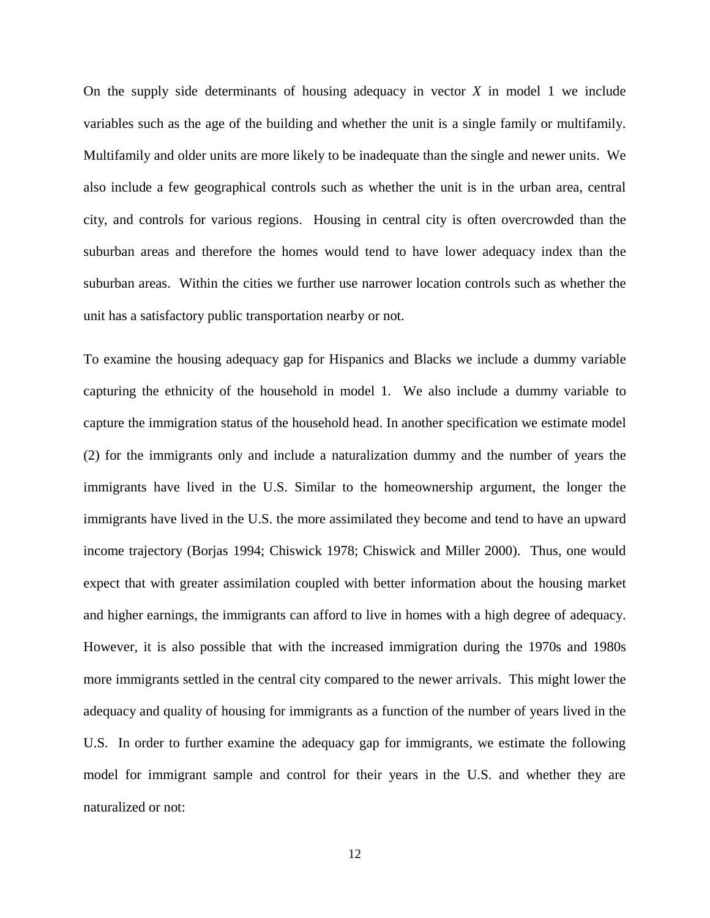On the supply side determinants of housing adequacy in vector *X* in model 1 we include variables such as the age of the building and whether the unit is a single family or multifamily. Multifamily and older units are more likely to be inadequate than the single and newer units. We also include a few geographical controls such as whether the unit is in the urban area, central city, and controls for various regions. Housing in central city is often overcrowded than the suburban areas and therefore the homes would tend to have lower adequacy index than the suburban areas. Within the cities we further use narrower location controls such as whether the unit has a satisfactory public transportation nearby or not.

To examine the housing adequacy gap for Hispanics and Blacks we include a dummy variable capturing the ethnicity of the household in model 1. We also include a dummy variable to capture the immigration status of the household head. In another specification we estimate model (2) for the immigrants only and include a naturalization dummy and the number of years the immigrants have lived in the U.S. Similar to the homeownership argument, the longer the immigrants have lived in the U.S. the more assimilated they become and tend to have an upward income trajectory (Borjas 1994; Chiswick 1978; Chiswick and Miller 2000). Thus, one would expect that with greater assimilation coupled with better information about the housing market and higher earnings, the immigrants can afford to live in homes with a high degree of adequacy. However, it is also possible that with the increased immigration during the 1970s and 1980s more immigrants settled in the central city compared to the newer arrivals. This might lower the adequacy and quality of housing for immigrants as a function of the number of years lived in the U.S. In order to further examine the adequacy gap for immigrants, we estimate the following model for immigrant sample and control for their years in the U.S. and whether they are naturalized or not: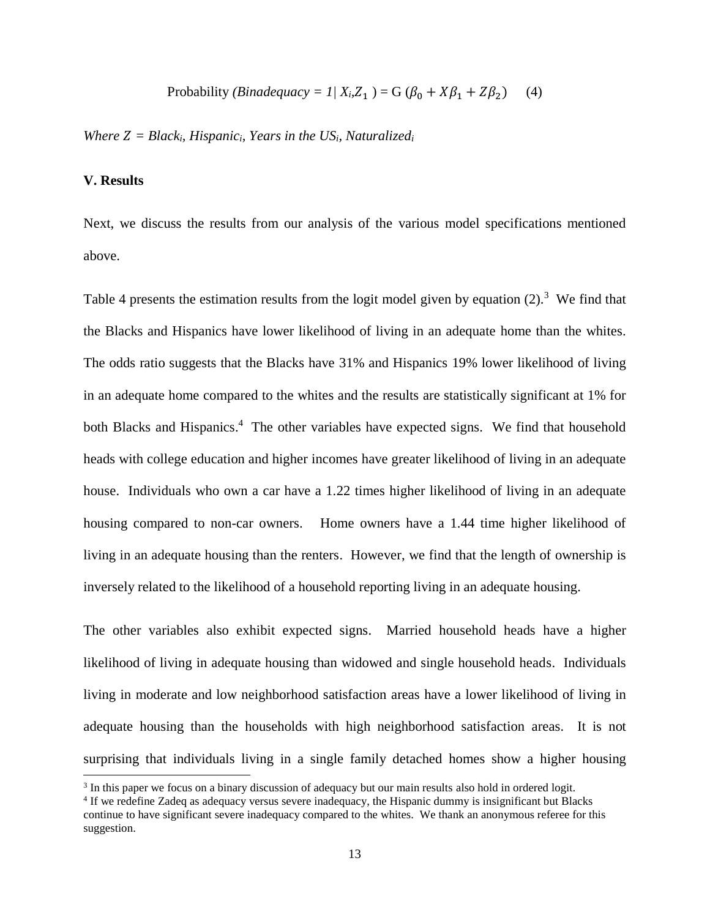Probability (*Binadequacy* = 
$$
1/X_i
$$
,  $Z_1$ ) = G ( $\beta_0$  +  $X\beta_1$  +  $Z\beta_2$ ) (4)

*Where*  $Z = Black_i$ *, Hispanic<sub>i</sub>, Years in the US<sub><i>i*</sub>, Naturalized<sub>*i*</sub>

#### **V. Results**

 $\overline{a}$ 

Next, we discuss the results from our analysis of the various model specifications mentioned above.

Table 4 presents the estimation results from the logit model given by equation  $(2)$ .<sup>3</sup> We find that the Blacks and Hispanics have lower likelihood of living in an adequate home than the whites. The odds ratio suggests that the Blacks have 31% and Hispanics 19% lower likelihood of living in an adequate home compared to the whites and the results are statistically significant at 1% for both Blacks and Hispanics.<sup>4</sup> The other variables have expected signs. We find that household heads with college education and higher incomes have greater likelihood of living in an adequate house. Individuals who own a car have a 1.22 times higher likelihood of living in an adequate housing compared to non-car owners. Home owners have a 1.44 time higher likelihood of living in an adequate housing than the renters. However, we find that the length of ownership is inversely related to the likelihood of a household reporting living in an adequate housing.

The other variables also exhibit expected signs. Married household heads have a higher likelihood of living in adequate housing than widowed and single household heads. Individuals living in moderate and low neighborhood satisfaction areas have a lower likelihood of living in adequate housing than the households with high neighborhood satisfaction areas. It is not surprising that individuals living in a single family detached homes show a higher housing

<sup>&</sup>lt;sup>3</sup> In this paper we focus on a binary discussion of adequacy but our main results also hold in ordered logit.

<sup>4</sup> If we redefine Zadeq as adequacy versus severe inadequacy, the Hispanic dummy is insignificant but Blacks continue to have significant severe inadequacy compared to the whites. We thank an anonymous referee for this suggestion.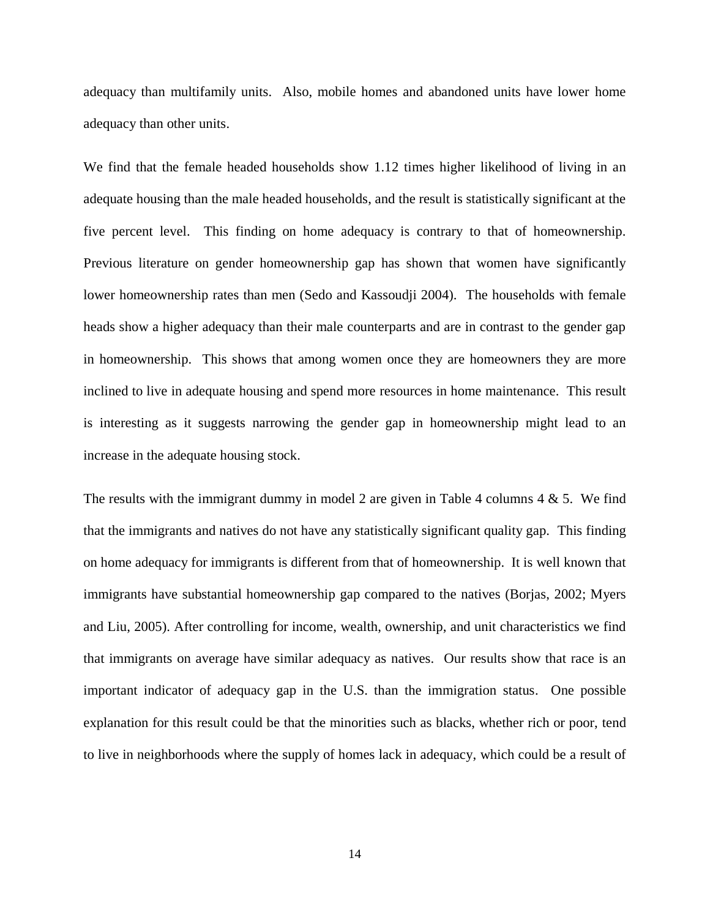adequacy than multifamily units. Also, mobile homes and abandoned units have lower home adequacy than other units.

We find that the female headed households show 1.12 times higher likelihood of living in an adequate housing than the male headed households, and the result is statistically significant at the five percent level. This finding on home adequacy is contrary to that of homeownership. Previous literature on gender homeownership gap has shown that women have significantly lower homeownership rates than men (Sedo and Kassoudji 2004). The households with female heads show a higher adequacy than their male counterparts and are in contrast to the gender gap in homeownership. This shows that among women once they are homeowners they are more inclined to live in adequate housing and spend more resources in home maintenance. This result is interesting as it suggests narrowing the gender gap in homeownership might lead to an increase in the adequate housing stock.

The results with the immigrant dummy in model 2 are given in Table 4 columns  $4 \& 5$ . We find that the immigrants and natives do not have any statistically significant quality gap. This finding on home adequacy for immigrants is different from that of homeownership. It is well known that immigrants have substantial homeownership gap compared to the natives (Borjas, 2002; Myers and Liu, 2005). After controlling for income, wealth, ownership, and unit characteristics we find that immigrants on average have similar adequacy as natives. Our results show that race is an important indicator of adequacy gap in the U.S. than the immigration status. One possible explanation for this result could be that the minorities such as blacks, whether rich or poor, tend to live in neighborhoods where the supply of homes lack in adequacy, which could be a result of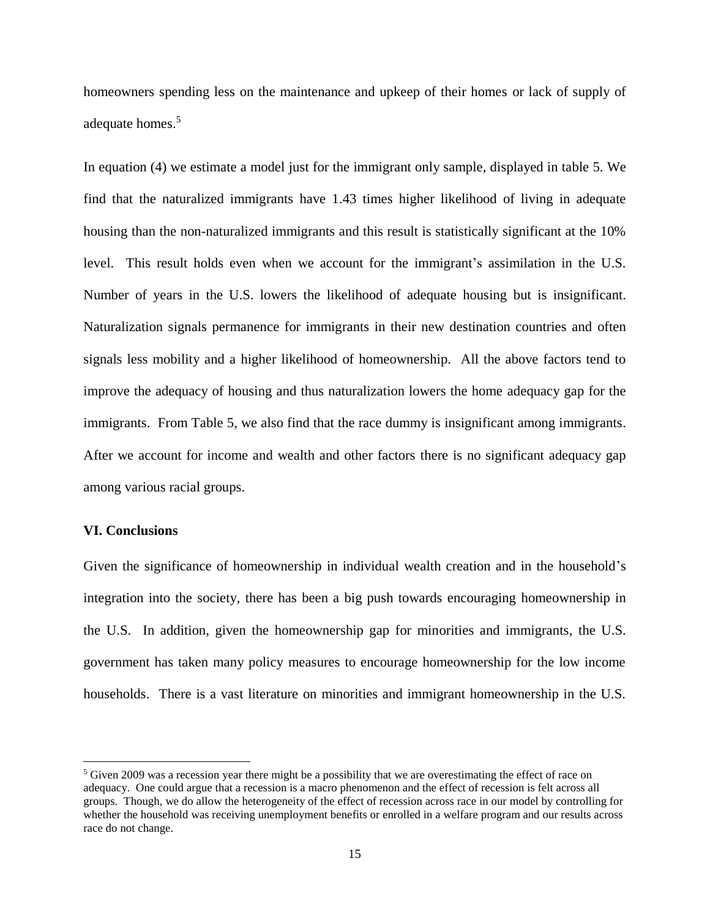homeowners spending less on the maintenance and upkeep of their homes or lack of supply of adequate homes.<sup>5</sup>

In equation (4) we estimate a model just for the immigrant only sample, displayed in table 5. We find that the naturalized immigrants have 1.43 times higher likelihood of living in adequate housing than the non-naturalized immigrants and this result is statistically significant at the 10% level. This result holds even when we account for the immigrant's assimilation in the U.S. Number of years in the U.S. lowers the likelihood of adequate housing but is insignificant. Naturalization signals permanence for immigrants in their new destination countries and often signals less mobility and a higher likelihood of homeownership. All the above factors tend to improve the adequacy of housing and thus naturalization lowers the home adequacy gap for the immigrants. From Table 5, we also find that the race dummy is insignificant among immigrants. After we account for income and wealth and other factors there is no significant adequacy gap among various racial groups.

#### **VI. Conclusions**

l

Given the significance of homeownership in individual wealth creation and in the household's integration into the society, there has been a big push towards encouraging homeownership in the U.S. In addition, given the homeownership gap for minorities and immigrants, the U.S. government has taken many policy measures to encourage homeownership for the low income households. There is a vast literature on minorities and immigrant homeownership in the U.S.

 $5$  Given 2009 was a recession year there might be a possibility that we are overestimating the effect of race on adequacy. One could argue that a recession is a macro phenomenon and the effect of recession is felt across all groups. Though, we do allow the heterogeneity of the effect of recession across race in our model by controlling for whether the household was receiving unemployment benefits or enrolled in a welfare program and our results across race do not change.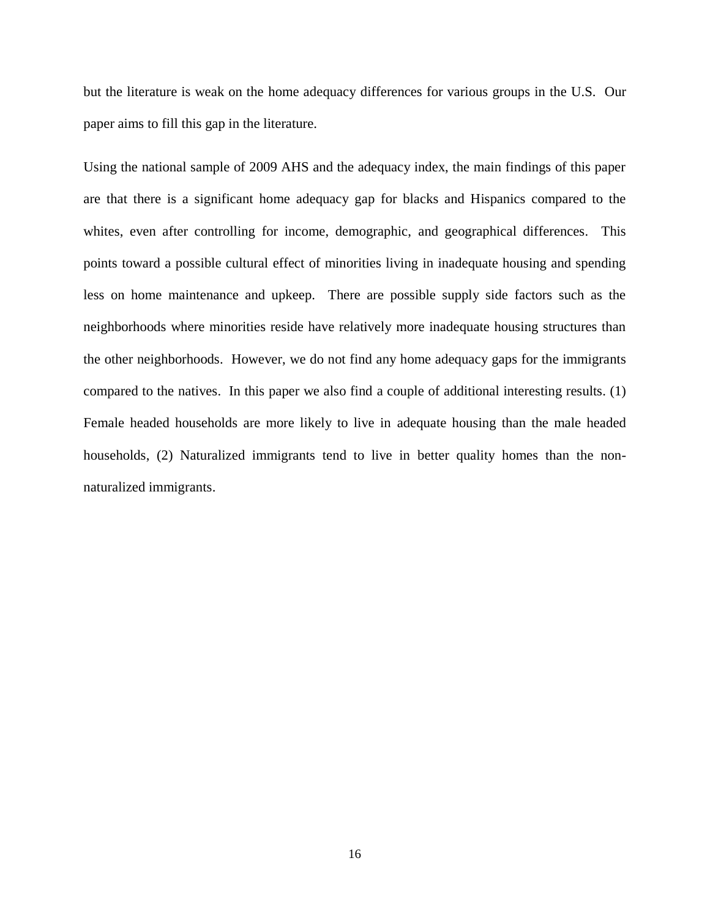but the literature is weak on the home adequacy differences for various groups in the U.S. Our paper aims to fill this gap in the literature.

Using the national sample of 2009 AHS and the adequacy index, the main findings of this paper are that there is a significant home adequacy gap for blacks and Hispanics compared to the whites, even after controlling for income, demographic, and geographical differences. This points toward a possible cultural effect of minorities living in inadequate housing and spending less on home maintenance and upkeep. There are possible supply side factors such as the neighborhoods where minorities reside have relatively more inadequate housing structures than the other neighborhoods. However, we do not find any home adequacy gaps for the immigrants compared to the natives. In this paper we also find a couple of additional interesting results. (1) Female headed households are more likely to live in adequate housing than the male headed households, (2) Naturalized immigrants tend to live in better quality homes than the nonnaturalized immigrants.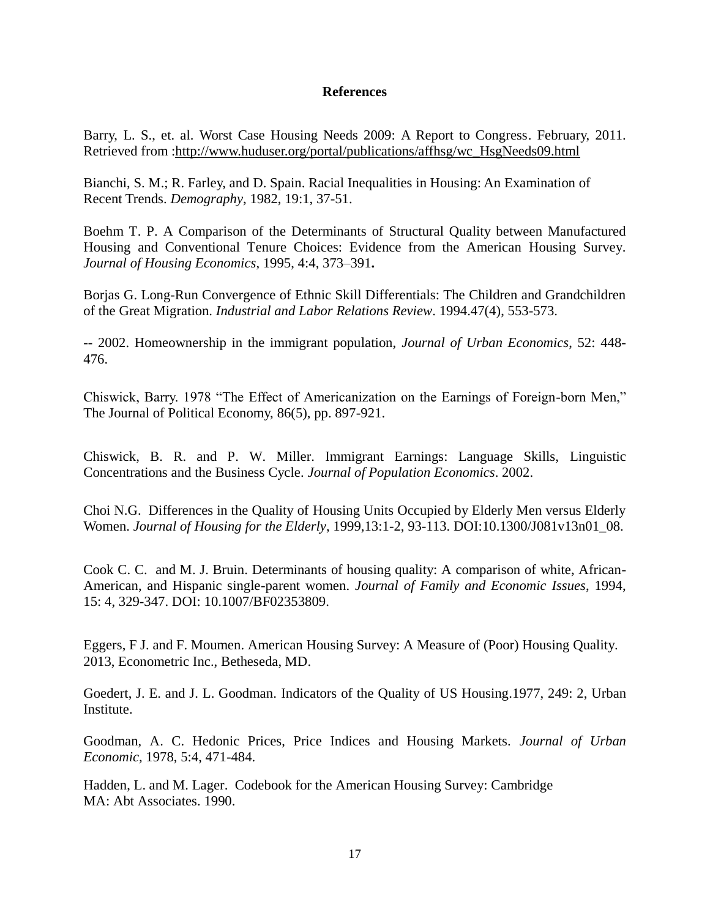#### **References**

Barry, L. S., et. al. Worst Case Housing Needs 2009: A Report to Congress. February, 2011. Retrieved from [:http://www.huduser.org/portal/publications/affhsg/wc\\_HsgNeeds09.html](http://www.huduser.org/portal/publications/affhsg/wc_HsgNeeds09.html)

Bianchi, S. M.; R. Farley, and D. Spain. Racial Inequalities in Housing: An Examination of Recent Trends. *Demography*, 1982, 19:1, 37-51.

Boehm [T. P. A](http://www.sciencedirect.com/science/article/pii/S1051137785710182) Comparison of the Determinants of Structural Quality between Manufactured Housing and Conventional Tenure Choices: Evidence from the American Housing Survey. *[Journal of Housing Economics](http://www.sciencedirect.com/science/journal/10511377)*, 1995, [4:4,](http://www.sciencedirect.com/science/journal/10511377/4/4) 373–391**.**

Borjas G. Long-Run Convergence of Ethnic Skill Differentials: The Children and Grandchildren of the Great Migration. *Industrial and Labor Relations Review*. 1994.47(4), 553-573.

-- 2002. Homeownership in the immigrant population, *Journal of Urban Economics*, 52: 448- 476.

Chiswick, Barry. 1978 "The Effect of Americanization on the Earnings of Foreign-born Men," The Journal of Political Economy, 86(5), pp. 897-921.

Chiswick, B. R. and P. W. Miller. Immigrant Earnings: Language Skills, Linguistic Concentrations and the Business Cycle. *Journal of Population Economics*. 2002.

Choi N.G. Differences in the Quality of Housing Units Occupied by Elderly Men versus Elderly Women. *Journal of Housing for the Elderly*, 1999[,13:1-2,](http://www.tandfonline.com/loi/wjhe20?open=13#vol_13) 93-113. DOI:10.1300/J081v13n01\_08.

Cook C. [C.](http://www.springerlink.com/content/?Author=Christine+C.+Cook) and M. [J. Bruin.](http://www.springerlink.com/content/?Author=Marilyn+J.+Bruin) [Determinants of housing quality: A comparison of white, African-](http://www.springerlink.com/content/r7k7243863u1207j/)[American, and Hispanic single-parent women.](http://www.springerlink.com/content/r7k7243863u1207j/) *[Journal of Family and Economic Issues](http://www.springerlink.com/content/1058-0476/)*, 1994, [15:](http://www.springerlink.com/content/1058-0476/15/4/) 4, 329-347. DOI: 10.1007/BF02353809.

Eggers, F J. and F. Moumen. American Housing Survey: A Measure of (Poor) Housing Quality. 2013, Econometric Inc., Betheseda, MD.

Goedert, J. E. and J. L. Goodman. Indicators of the Quality of US Housing.1977, 249: 2, Urban Institute.

Goodman, A. C. Hedonic Prices, Price Indices and Housing Markets. *Journal of Urban Economic,* 1978, 5:4, 471-484.

Hadden, L. and M. Lager. Codebook for the American Housing Survey: Cambridge MA: Abt Associates. 1990.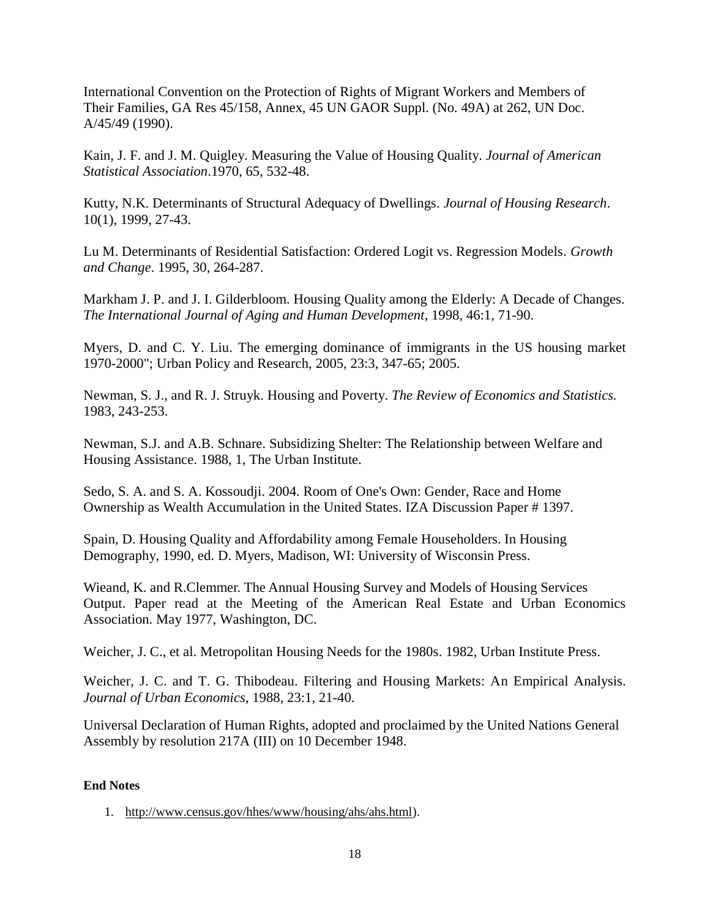International Convention on the Protection of Rights of Migrant Workers and Members of Their Families, GA Res 45/158, Annex, 45 UN GAOR Suppl. (No. 49A) at 262, UN Doc. A/45/49 (1990).

Kain, J. F. and J. M. Quigley. Measuring the Value of Housing Quality. *Journal of American Statistical Association*.1970, 65, 532-48.

Kutty, N.K. Determinants of Structural Adequacy of Dwellings. *Journal of Housing Research*. 10(1), 1999, 27-43.

Lu M. Determinants of Residential Satisfaction: Ordered Logit vs. Regression Models. *Growth and Change*. 1995, 30, 264-287.

Markham J. P. and J. I. Gilderbloom. Housing Quality among the Elderly: A Decade of Changes. *The International Journal of Aging and Human Development*, 1998, 46:1, 71-90.

Myers, D. and C. Y. Liu. The emerging dominance of immigrants in the US housing market 1970-2000"; Urban Policy and Research, 2005, 23:3, 347-65; 2005.

Newman, S. J., and R. J. Struyk. Housing and Poverty. *The Review of Economics and Statistics.* 1983, 243-253.

Newman, S.J. and A.B. Schnare. Subsidizing Shelter: The Relationship between Welfare and Housing Assistance. 1988, 1, The Urban Institute.

Sedo, S. A. and S. A. Kossoudji. 2004. Room of One's Own: Gender, Race and Home Ownership as Wealth Accumulation in the United States. IZA Discussion Paper # 1397.

Spain, D. Housing Quality and Affordability among Female Householders. In Housing Demography, 1990, ed. D. Myers, Madison, WI: University of Wisconsin Press.

Wieand, K. and R.Clemmer. The Annual Housing Survey and Models of Housing Services Output. Paper read at the Meeting of the American Real Estate and Urban Economics Association. May 1977, Washington, DC.

Weicher, J. C., et al. Metropolitan Housing Needs for the 1980s. 1982, Urban Institute Press.

Weicher, J. C. and T. G. Thibodeau. Filtering and Housing Markets: An Empirical Analysis. *Journal of Urban Economics*, 1988, 23:1, 21-40.

Universal Declaration of Human Rights, adopted and proclaimed by the United Nations General Assembly by resolution 217A (III) on 10 December 1948.

#### **End Notes**

1. [http://www.census.gov/hhes/www/housing/ahs/ahs.html\)](http://www.census.gov/hhes/www/housing/ahs/ahs.html).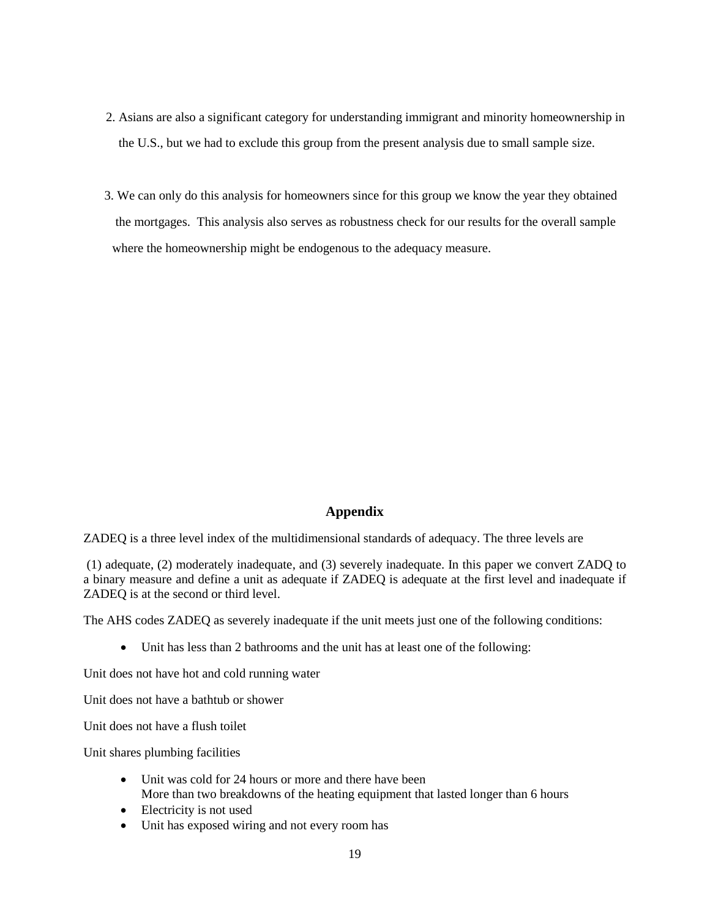- 2. Asians are also a significant category for understanding immigrant and minority homeownership in the U.S., but we had to exclude this group from the present analysis due to small sample size.
- 3. We can only do this analysis for homeowners since for this group we know the year they obtained the mortgages. This analysis also serves as robustness check for our results for the overall sample where the homeownership might be endogenous to the adequacy measure.

#### **Appendix**

ZADEQ is a three level index of the multidimensional standards of adequacy. The three levels are

(1) adequate, (2) moderately inadequate, and (3) severely inadequate. In this paper we convert ZADQ to a binary measure and define a unit as adequate if ZADEQ is adequate at the first level and inadequate if ZADEQ is at the second or third level.

The AHS codes ZADEQ as severely inadequate if the unit meets just one of the following conditions:

Unit has less than 2 bathrooms and the unit has at least one of the following:

Unit does not have hot and cold running water

Unit does not have a bathtub or shower

Unit does not have a flush toilet

Unit shares plumbing facilities

- Unit was cold for 24 hours or more and there have been More than two breakdowns of the heating equipment that lasted longer than 6 hours
- Electricity is not used
- Unit has exposed wiring and not every room has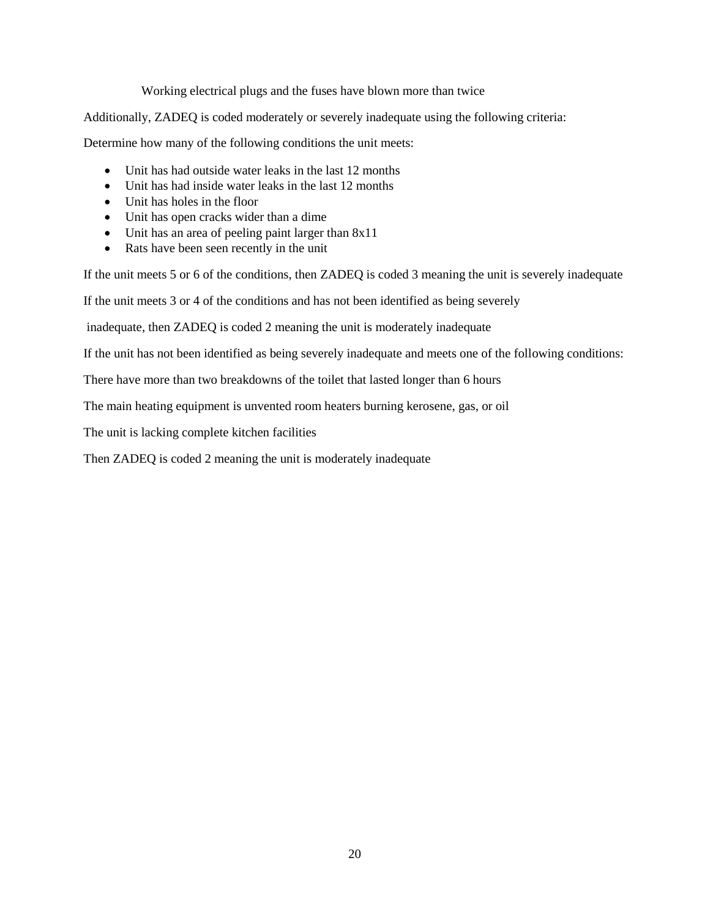Working electrical plugs and the fuses have blown more than twice

Additionally, ZADEQ is coded moderately or severely inadequate using the following criteria:

Determine how many of the following conditions the unit meets:

- Unit has had outside water leaks in the last 12 months
- Unit has had inside water leaks in the last 12 months
- Unit has holes in the floor
- Unit has open cracks wider than a dime
- Unit has an area of peeling paint larger than 8x11
- Rats have been seen recently in the unit

If the unit meets 5 or 6 of the conditions, then ZADEQ is coded 3 meaning the unit is severely inadequate

If the unit meets 3 or 4 of the conditions and has not been identified as being severely

inadequate, then ZADEQ is coded 2 meaning the unit is moderately inadequate

If the unit has not been identified as being severely inadequate and meets one of the following conditions:

There have more than two breakdowns of the toilet that lasted longer than 6 hours

The main heating equipment is unvented room heaters burning kerosene, gas, or oil

The unit is lacking complete kitchen facilities

Then ZADEQ is coded 2 meaning the unit is moderately inadequate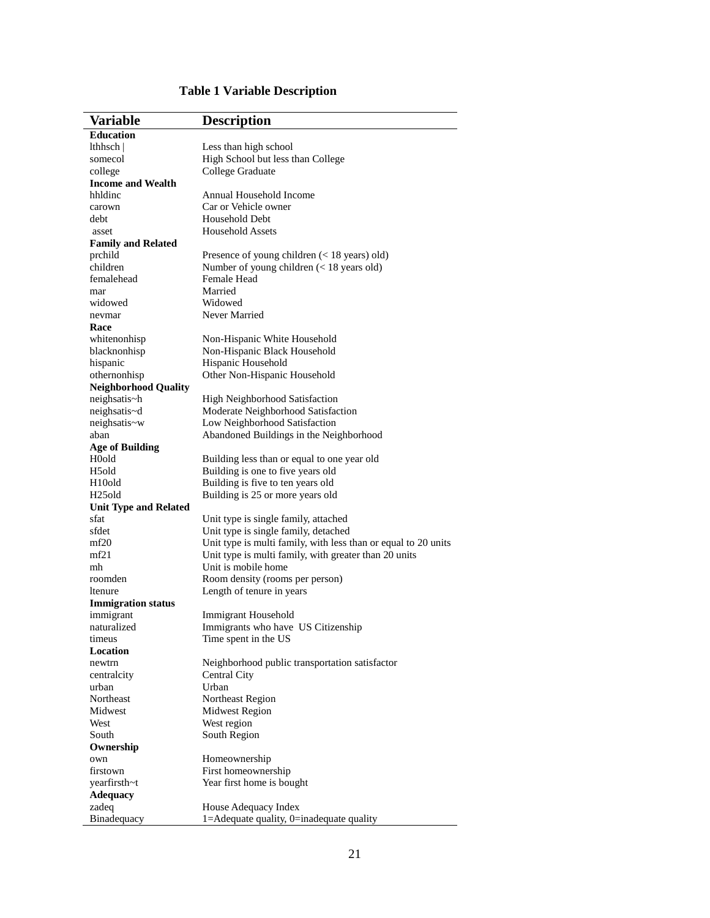| Variable                     | <b>Description</b>                                             |
|------------------------------|----------------------------------------------------------------|
| <b>Education</b>             |                                                                |
| lthhsch                      | Less than high school                                          |
| somecol                      | High School but less than College                              |
| college                      | College Graduate                                               |
| <b>Income and Wealth</b>     |                                                                |
| hhldinc                      | Annual Household Income                                        |
| carown                       | Car or Vehicle owner                                           |
| debt                         | Household Debt                                                 |
| asset                        | <b>Household Assets</b>                                        |
| <b>Family and Related</b>    |                                                                |
| prchild                      | Presence of young children $(< 18$ years) old)                 |
| children                     | Number of young children (< 18 years old)                      |
| femalehead                   | Female Head                                                    |
| mar                          | Married                                                        |
| widowed                      | Widowed                                                        |
| nevmar                       | Never Married                                                  |
| Race                         |                                                                |
| whitenonhisp                 | Non-Hispanic White Household                                   |
| blacknonhisp                 | Non-Hispanic Black Household                                   |
| hispanic                     | Hispanic Household                                             |
| othernonhisp                 | Other Non-Hispanic Household                                   |
| <b>Neighborhood Quality</b>  |                                                                |
| neighsatis~h                 | High Neighborhood Satisfaction                                 |
| neighsatis~d                 | Moderate Neighborhood Satisfaction                             |
| neighsatis~w                 | Low Neighborhood Satisfaction                                  |
| aban                         | Abandoned Buildings in the Neighborhood                        |
| <b>Age of Building</b>       |                                                                |
| H0old                        | Building less than or equal to one year old                    |
| H <sub>5</sub> old           | Building is one to five years old                              |
| H <sub>10</sub> old          | Building is five to ten years old                              |
| H <sub>25</sub> old          | Building is 25 or more years old                               |
| <b>Unit Type and Related</b> |                                                                |
| sfat                         | Unit type is single family, attached                           |
| sfdet                        | Unit type is single family, detached                           |
| mf20                         | Unit type is multi family, with less than or equal to 20 units |
| mf21                         | Unit type is multi family, with greater than 20 units          |
| mh                           | Unit is mobile home                                            |
| roomden                      | Room density (rooms per person)                                |
| ltenure                      | Length of tenure in years                                      |
| <b>Immigration status</b>    |                                                                |
| immigrant                    | Immigrant Household                                            |
| naturalized                  | Immigrants who have US Citizenship                             |
| timeus                       | Time spent in the US                                           |
| Location                     |                                                                |
| newtrn                       | Neighborhood public transportation satisfactor                 |
| centralcity                  | Central City                                                   |
| urban                        | Urban                                                          |
| Northeast                    | Northeast Region                                               |
| Midwest                      | <b>Midwest Region</b>                                          |
| West                         | West region                                                    |
| South                        | South Region                                                   |
| Ownership                    |                                                                |
| own                          | Homeownership                                                  |
| firstown                     | First homeownership                                            |
| yearfirsth~t                 | Year first home is bought                                      |
| <b>Adequacy</b>              |                                                                |
| zadeq                        | House Adequacy Index                                           |
| Binadequacy                  | $1 =$ Adequate quality, $0 =$ inadequate quality               |

### **Table 1 Variable Description**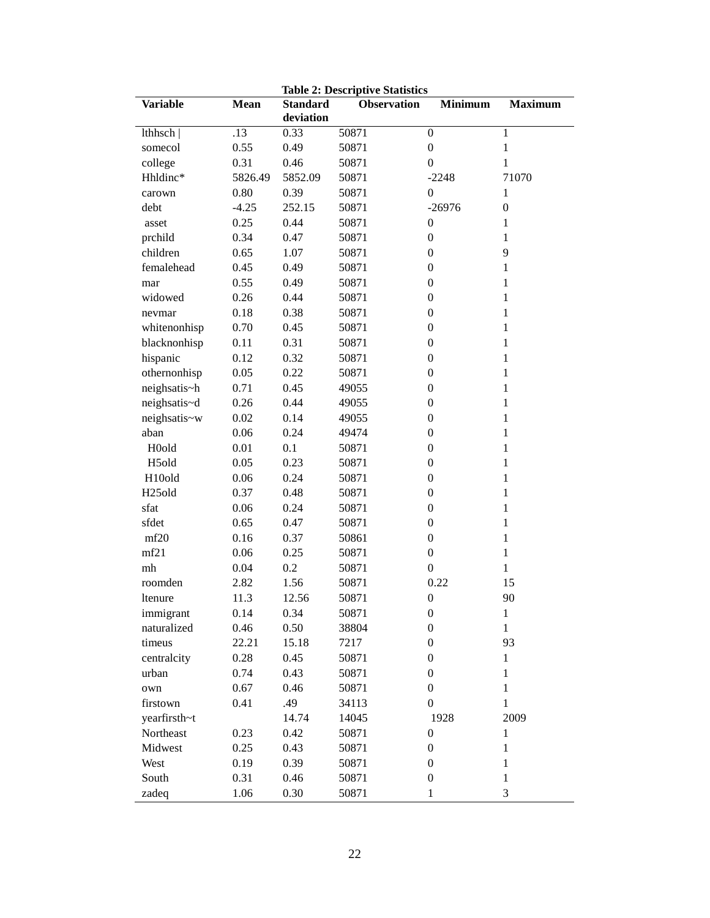|                            |          |                 | Table 2: Descriptive Statistics |                  |                   |
|----------------------------|----------|-----------------|---------------------------------|------------------|-------------------|
| <b>Variable</b>            | Mean     | <b>Standard</b> | <b>Observation</b>              | <b>Minimum</b>   | <b>Maximum</b>    |
|                            |          | deviation       |                                 |                  |                   |
| lthhsch                    | .13      | 0.33            | 50871                           | $\boldsymbol{0}$ | 1                 |
| somecol                    | 0.55     | 0.49            | 50871                           | $\boldsymbol{0}$ | $\mathbf{1}$      |
| college                    | 0.31     | 0.46            | 50871                           | $\boldsymbol{0}$ | 1                 |
| Hhldinc*                   | 5826.49  | 5852.09         | 50871                           | $-2248$          | 71070             |
| carown                     | 0.80     | 0.39            | 50871                           | $\boldsymbol{0}$ | $\mathbf{1}$      |
| debt                       | $-4.25$  | 252.15          | 50871                           | $-26976$         | $\boldsymbol{0}$  |
| asset                      | 0.25     | 0.44            | 50871                           | $\boldsymbol{0}$ | 1                 |
| prchild                    | 0.34     | 0.47            | 50871                           | $\boldsymbol{0}$ | $\mathbf{1}$      |
| children                   | 0.65     | 1.07            | 50871                           | $\boldsymbol{0}$ | 9                 |
| femalehead                 | 0.45     | 0.49            | 50871                           | $\boldsymbol{0}$ | 1                 |
| mar                        | 0.55     | 0.49            | 50871                           | $\boldsymbol{0}$ | 1                 |
| widowed                    | 0.26     | 0.44            | 50871                           | $\boldsymbol{0}$ | 1                 |
| nevmar                     | 0.18     | 0.38            | 50871                           | $\boldsymbol{0}$ | 1                 |
| whitenonhisp               | 0.70     | 0.45            | 50871                           | $\boldsymbol{0}$ | 1                 |
| blacknonhisp               | 0.11     | 0.31            | 50871                           | $\boldsymbol{0}$ | 1                 |
| hispanic                   | 0.12     | 0.32            | 50871                           | $\boldsymbol{0}$ | 1                 |
| othernonhisp               | 0.05     | 0.22            | 50871                           | $\boldsymbol{0}$ | 1                 |
| neighsatis~h               | 0.71     | 0.45            | 49055                           | $\boldsymbol{0}$ | $\mathbf{1}$      |
| neighsatis~d               | 0.26     | 0.44            | 49055                           | $\boldsymbol{0}$ | 1                 |
| neighsatis~w               | 0.02     | 0.14            | 49055                           | $\boldsymbol{0}$ | 1                 |
| aban                       | 0.06     | 0.24            | 49474                           | $\boldsymbol{0}$ | 1                 |
| H0old                      | 0.01     | 0.1             | 50871                           | $\boldsymbol{0}$ | 1                 |
| H <sub>5</sub> old         | 0.05     | 0.23            |                                 | $\boldsymbol{0}$ |                   |
|                            |          |                 | 50871                           | $\boldsymbol{0}$ | 1<br>$\mathbf{1}$ |
| H10old                     | 0.06     | 0.24            | 50871                           |                  |                   |
| H <sub>25old</sub>         | 0.37     | 0.48            | 50871                           | $\boldsymbol{0}$ | $\mathbf 1$       |
| sfat                       | $0.06\,$ | 0.24            | 50871                           | $\boldsymbol{0}$ | $\mathbf{1}$      |
| sfdet                      | 0.65     | 0.47            | 50871                           | $\boldsymbol{0}$ | 1                 |
| mf20                       | 0.16     | 0.37            | 50861                           | $\boldsymbol{0}$ | 1                 |
| mf21                       | 0.06     | 0.25            | 50871                           | $\boldsymbol{0}$ | $\mathbf{1}$      |
| $\ensuremath{\mathrm{mh}}$ | 0.04     | 0.2             | 50871                           | $\boldsymbol{0}$ | $\mathbf{1}$      |
| roomden                    | 2.82     | 1.56            | 50871                           | 0.22             | 15                |
| ltenure                    | 11.3     | 12.56           | 50871                           | $\boldsymbol{0}$ | 90                |
| immigrant                  | 0.14     | 0.34            | 50871                           | $\boldsymbol{0}$ | $\mathbf{I}$      |
| naturalized                | 0.46     | 0.50            | 38804                           | $\boldsymbol{0}$ | $\mathbf{1}$      |
| timeus                     | 22.21    | 15.18           | 7217                            | $\boldsymbol{0}$ | 93                |
| centralcity                | 0.28     | 0.45            | 50871                           | $\boldsymbol{0}$ | $\mathbf{1}$      |
| urban                      | 0.74     | 0.43            | 50871                           | $\boldsymbol{0}$ | $\mathbf{1}$      |
| own                        | 0.67     | 0.46            | 50871                           | $\boldsymbol{0}$ | $\mathbf{1}$      |
| firstown                   | 0.41     | .49             | 34113                           | $\boldsymbol{0}$ | $\mathbf{1}$      |
| yearfirsth~t               |          | 14.74           | 14045                           | 1928             | 2009              |
| Northeast                  | 0.23     | 0.42            | 50871                           | $\boldsymbol{0}$ | $\mathbf{1}$      |
| Midwest                    | 0.25     | 0.43            | 50871                           | $\boldsymbol{0}$ | $\mathbf{1}$      |
| West                       | 0.19     | 0.39            | 50871                           | $\boldsymbol{0}$ | $\mathbf 1$       |
| South                      | 0.31     | 0.46            | 50871                           | $\boldsymbol{0}$ | 1                 |
| zadeq                      | 1.06     | 0.30            | 50871                           | $\mathbf{1}$     | 3                 |
|                            |          |                 |                                 |                  |                   |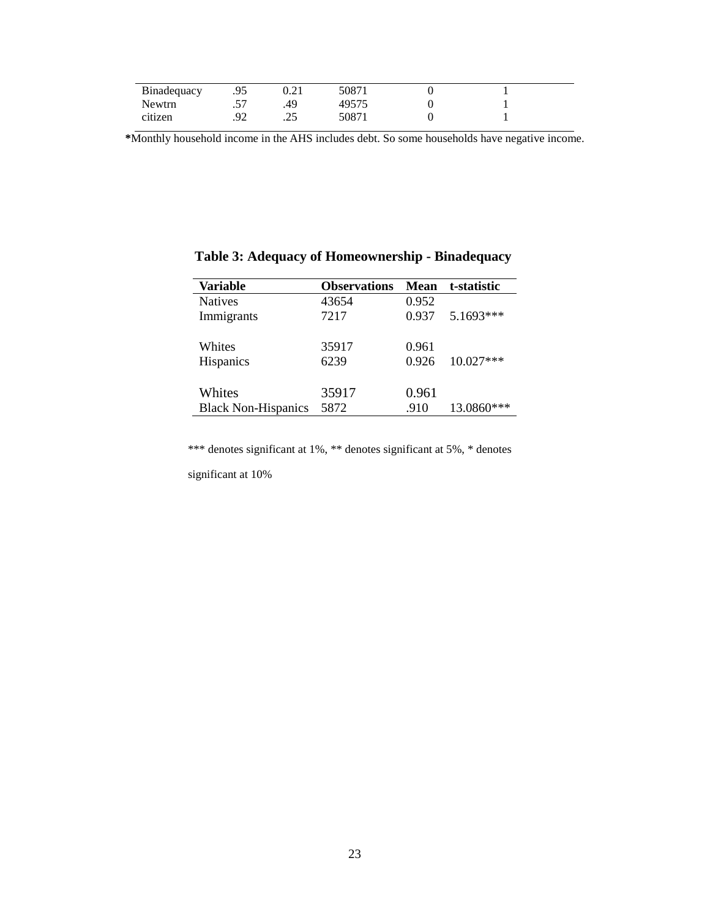| Binadequacy | ر. ر. | ∪.∠⊥          | 50871 |  |  |
|-------------|-------|---------------|-------|--|--|
| Newtrn      | . پ   | .49           | 49575 |  |  |
| citizen     |       | ገ ረ<br>ر بے ا | 50871 |  |  |

**\***Monthly household income in the AHS includes debt. So some households have negative income.

| Variable                   | <b>Observations</b> | Mean  | t-statistic |
|----------------------------|---------------------|-------|-------------|
| <b>Natives</b>             | 43654               | 0.952 |             |
| Immigrants                 | 7217                | 0.937 | 5.1693***   |
|                            |                     |       |             |
| Whites                     | 35917               | 0.961 |             |
| <b>Hispanics</b>           | 6239                | 0.926 | $10.027***$ |
|                            |                     |       |             |
| Whites                     | 35917               | 0.961 |             |
| <b>Black Non-Hispanics</b> | 5872                | .910  | 13.0860***  |

### **Table 3: Adequacy of Homeownership - Binadequacy**

\*\*\* denotes significant at 1%, \*\* denotes significant at 5%, \* denotes

significant at 10%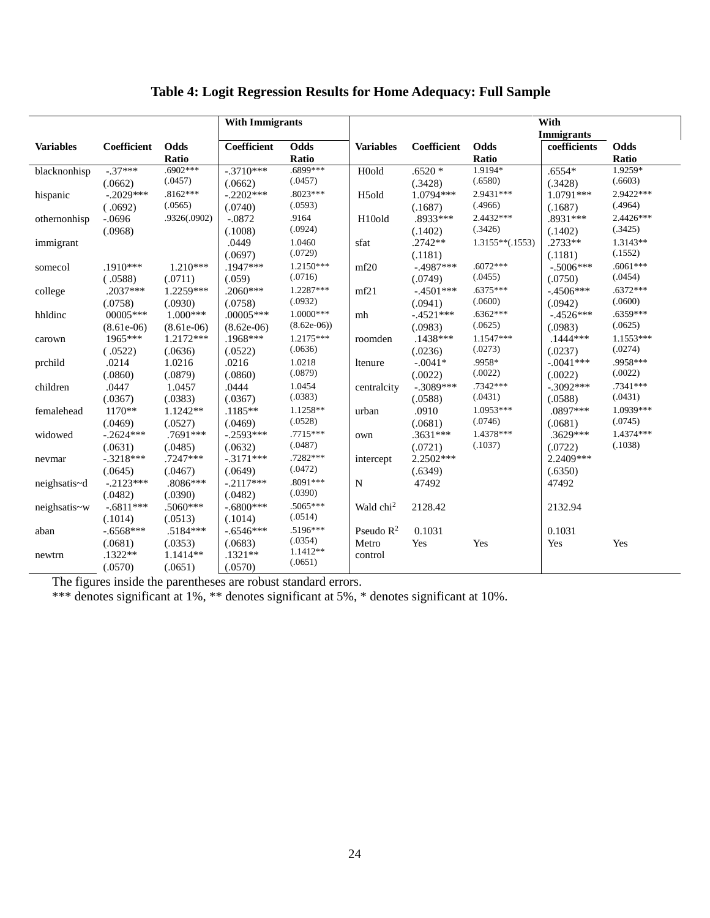### **Table 4: Logit Regression Results for Home Adequacy: Full Sample**

|                  |              |              | <b>With Immigrants</b> |                       | With                  |                   |                   |              |             |
|------------------|--------------|--------------|------------------------|-----------------------|-----------------------|-------------------|-------------------|--------------|-------------|
|                  |              |              |                        |                       |                       | <b>Immigrants</b> |                   |              |             |
| <b>Variables</b> | Coefficient  | Odds         | Coefficient            | Odds                  | <b>Variables</b>      | Coefficient       | Odds              | coefficients | Odds        |
|                  |              | Ratio        |                        | Ratio                 |                       |                   | Ratio             |              | Ratio       |
| blacknonhisp     | $-.37***$    | $.6902***$   | $-.3710***$            | .6899***              | H <sub>0</sub> d      | $.6520*$          | 1.9194*           | $.6554*$     | 1.9259*     |
|                  | (.0662)      | (.0457)      | (.0662)                | (.0457)               |                       | (.3428)           | (.6580)           | (.3428)      | (.6603)     |
| hispanic         | $-.2029***$  | $.8162***$   | $-.2202***$            | $.8023***$            | H <sub>5</sub> old    | 1.0794***         | 2.9431 ***        | 1.0791***    | 2.9422***   |
|                  | (.0692)      | (.0565)      | (.0740)                | (.0593)               |                       | (.1687)           | (.4966)           | (.1687)      | (.4964)     |
| othernonhisp     | $-.0696$     | .9326(.0902) | $-.0872$               | .9164                 | H <sub>10old</sub>    | .8933***          | 2.4432***         | .8931 ***    | 2.4426***   |
|                  | (.0968)      |              | (.1008)                | (.0924)               |                       | (.1402)           | (.3426)           | (.1402)      | (.3425)     |
| immigrant        |              |              | .0449                  | 1.0460                | sfat                  | $.2742**$         | $1.3155**(.1553)$ | $.2733**$    | 1.3143**    |
|                  |              |              | (.0697)                | (.0729)               |                       | (.1181)           |                   | (.1181)      | (.1552)     |
| somecol          | .1910***     | $1.210***$   | .1947***               | $1.2150***$           | mf20                  | $-.4987***$       | $.6072***$        | $-.5006***$  | $.6061***$  |
|                  | (.0588)      | (.0711)      | (.059)                 | (.0716)               |                       | (.0749)           | (.0455)           | (.0750)      | (.0454)     |
| college          | $.2037***$   | 1.2259***    | $.2060***$             | 1.2287***             | mf21                  | $-.4501***$       | $.6375***$        | $-.4506***$  | $.6372***$  |
|                  | (.0758)      | (.0930)      | (.0758)                | (.0932)               |                       | (.0941)           | (.0600)           | (.0942)      | (.0600)     |
| hhldinc          | $00005***$   | $1.000***$   | $.00005***$            | $1.0000***$           | mh                    | $-.4521***$       | $.6362***$        | $-.4526***$  | $.6359***$  |
|                  | $(8.61e-06)$ | $(8.61e-06)$ | $(8.62e-06)$           | $(8.62e-06)$          |                       | (.0983)           | (.0625)           | (.0983)      | (.0625)     |
| carown           | 1965***      | 1.2172***    | .1968***               | $1.2175***$           | roomden               | $.1438***$        | $1.1547***$       | $.1444***$   | $1.1553***$ |
|                  | (.0522)      | (.0636)      | (.0522)                | (.0636)               |                       | (.0236)           | (.0273)           | (.0237)      | (.0274)     |
| prchild          | .0214        | 1.0216       | .0216                  | 1.0218                | ltenure               | $-.0041*$         | .9958*            | $-.0041***$  | .9958***    |
|                  | (.0860)      | (.0879)      | (.0860)                | (.0879)               |                       | (.0022)           | (.0022)           | (.0022)      | (.0022)     |
| children         | .0447        | 1.0457       | .0444                  | 1.0454                | centralcity           | $-.3089***$       | .7342***          | $-.3092***$  | $.7341***$  |
|                  | (.0367)      | (.0383)      | (.0367)                | (.0383)               |                       | (.0588)           | (.0431)           | (.0588)      | (.0431)     |
| femalehead       | $1170**$     | $1.1242**$   | $.1185**$              | 1.1258**              | urban                 | .0910             | 1.0953***         | .0897***     | 1.0939***   |
|                  | (.0469)      | (.0527)      | (.0469)                | (.0528)               |                       | (.0681)           | (.0746)           | (.0681)      | (.0745)     |
| widowed          | $-.2624***$  | .7691***     | $-.2593***$            | .7715***              | own                   | $.3631***$        | 1.4378***         | .3629***     | 1.4374***   |
|                  | (.0631)      | (.0485)      | (.0632)                | (.0487)               |                       | (.0721)           | (.1037)           | (.0722)      | (.1038)     |
| nevmar           | $-.3218***$  | $.7247***$   | $-.3171***$            | .7282***              | intercept             | $2.2502***$       |                   | 2.2409***    |             |
|                  | (.0645)      | (.0467)      | (.0649)                | (.0472)               |                       | (.6349)           |                   | (.6350)      |             |
| neighsatis~d     | $-.2123***$  | $.8086***$   | $-.2117***$            | .8091***<br>(.0390)   | ${\bf N}$             | 47492             |                   | 47492        |             |
|                  | (.0482)      | (.0390)      | (.0482)                |                       |                       |                   |                   |              |             |
| neighsatis~w     | $-.6811***$  | .5060***     | $-.6800***$            | .5065***              | Wald chi <sup>2</sup> | 2128.42           |                   | 2132.94      |             |
|                  | (.1014)      | (.0513)      | (.1014)                | (.0514)<br>$.5196***$ |                       |                   |                   |              |             |
| aban             | $-.6568***$  | .5184***     | $-.6546***$            | (.0354)               | Pseudo $R^2$          | 0.1031            |                   | 0.1031       |             |
|                  | (.0681)      | (.0353)      | (.0683)                | $1.1412**$            | Metro                 | Yes               | Yes               | Yes          | Yes         |
| newtrn           | $.1322**$    | 1.1414**     | $.1321**$              | (.0651)               | control               |                   |                   |              |             |
|                  | (.0570)      | (.0651)      | (.0570)                |                       |                       |                   |                   |              |             |

The figures inside the parentheses are robust standard errors.

\*\*\* denotes significant at 1%, \*\* denotes significant at 5%, \* denotes significant at 10%.